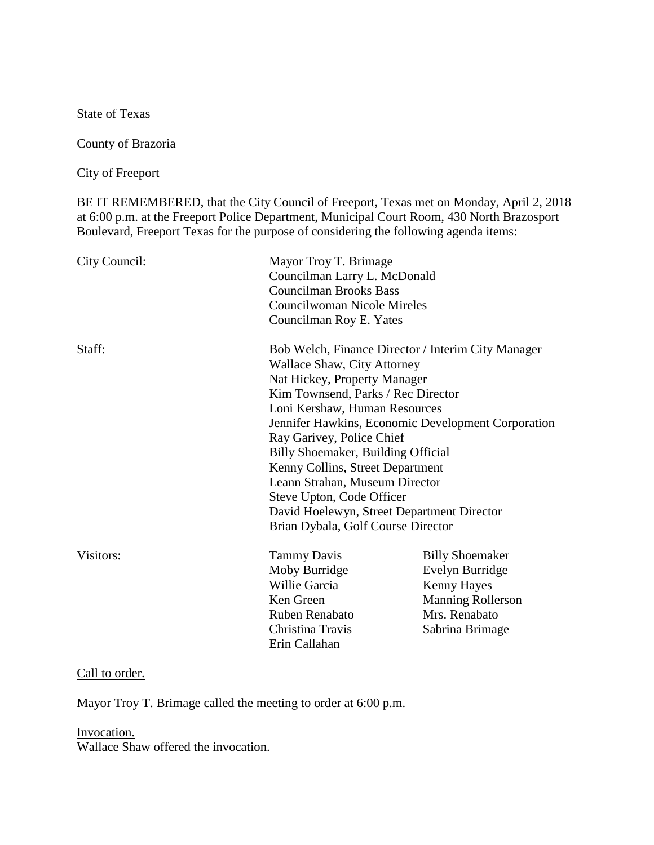State of Texas

County of Brazoria

City of Freeport

BE IT REMEMBERED, that the City Council of Freeport, Texas met on Monday, April 2, 2018 at 6:00 p.m. at the Freeport Police Department, Municipal Court Room, 430 North Brazosport Boulevard, Freeport Texas for the purpose of considering the following agenda items:

| City Council: | Mayor Troy T. Brimage<br>Councilman Larry L. McDonald<br><b>Councilman Brooks Bass</b><br>Councilwoman Nicole Mireles<br>Councilman Roy E. Yates                                                                                                                                                                                                                                                                                                                                                                |                                                                                                                                 |
|---------------|-----------------------------------------------------------------------------------------------------------------------------------------------------------------------------------------------------------------------------------------------------------------------------------------------------------------------------------------------------------------------------------------------------------------------------------------------------------------------------------------------------------------|---------------------------------------------------------------------------------------------------------------------------------|
| Staff:        | Bob Welch, Finance Director / Interim City Manager<br><b>Wallace Shaw, City Attorney</b><br>Nat Hickey, Property Manager<br>Kim Townsend, Parks / Rec Director<br>Loni Kershaw, Human Resources<br>Jennifer Hawkins, Economic Development Corporation<br>Ray Garivey, Police Chief<br>Billy Shoemaker, Building Official<br>Kenny Collins, Street Department<br>Leann Strahan, Museum Director<br>Steve Upton, Code Officer<br>David Hoelewyn, Street Department Director<br>Brian Dybala, Golf Course Director |                                                                                                                                 |
| Visitors:     | <b>Tammy Davis</b><br>Moby Burridge<br>Willie Garcia<br>Ken Green<br>Ruben Renabato<br>Christina Travis<br>Erin Callahan                                                                                                                                                                                                                                                                                                                                                                                        | <b>Billy Shoemaker</b><br>Evelyn Burridge<br><b>Kenny Hayes</b><br><b>Manning Rollerson</b><br>Mrs. Renabato<br>Sabrina Brimage |

#### Call to order.

Mayor Troy T. Brimage called the meeting to order at 6:00 p.m.

Invocation. Wallace Shaw offered the invocation.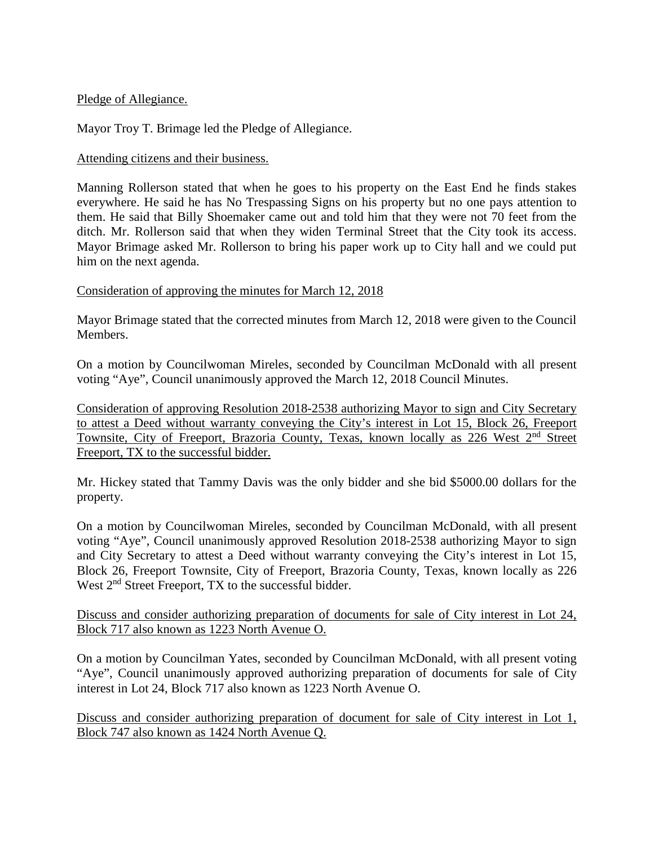## Pledge of Allegiance.

Mayor Troy T. Brimage led the Pledge of Allegiance.

## Attending citizens and their business.

Manning Rollerson stated that when he goes to his property on the East End he finds stakes everywhere. He said he has No Trespassing Signs on his property but no one pays attention to them. He said that Billy Shoemaker came out and told him that they were not 70 feet from the ditch. Mr. Rollerson said that when they widen Terminal Street that the City took its access. Mayor Brimage asked Mr. Rollerson to bring his paper work up to City hall and we could put him on the next agenda.

## Consideration of approving the minutes for March 12, 2018

Mayor Brimage stated that the corrected minutes from March 12, 2018 were given to the Council Members.

On a motion by Councilwoman Mireles, seconded by Councilman McDonald with all present voting "Aye", Council unanimously approved the March 12, 2018 Council Minutes.

Consideration of approving Resolution 2018-2538 authorizing Mayor to sign and City Secretary to attest a Deed without warranty conveying the City's interest in Lot 15, Block 26, Freeport Townsite, City of Freeport, Brazoria County, Texas, known locally as 226 West 2<sup>nd</sup> Street Freeport, TX to the successful bidder.

Mr. Hickey stated that Tammy Davis was the only bidder and she bid \$5000.00 dollars for the property.

On a motion by Councilwoman Mireles, seconded by Councilman McDonald, with all present voting "Aye", Council unanimously approved Resolution 2018-2538 authorizing Mayor to sign and City Secretary to attest a Deed without warranty conveying the City's interest in Lot 15, Block 26, Freeport Townsite, City of Freeport, Brazoria County, Texas, known locally as 226 West  $2<sup>nd</sup>$  Street Freeport, TX to the successful bidder.

Discuss and consider authorizing preparation of documents for sale of City interest in Lot 24, Block 717 also known as 1223 North Avenue O.

On a motion by Councilman Yates, seconded by Councilman McDonald, with all present voting "Aye", Council unanimously approved authorizing preparation of documents for sale of City interest in Lot 24, Block 717 also known as 1223 North Avenue O.

Discuss and consider authorizing preparation of document for sale of City interest in Lot 1, Block 747 also known as 1424 North Avenue Q.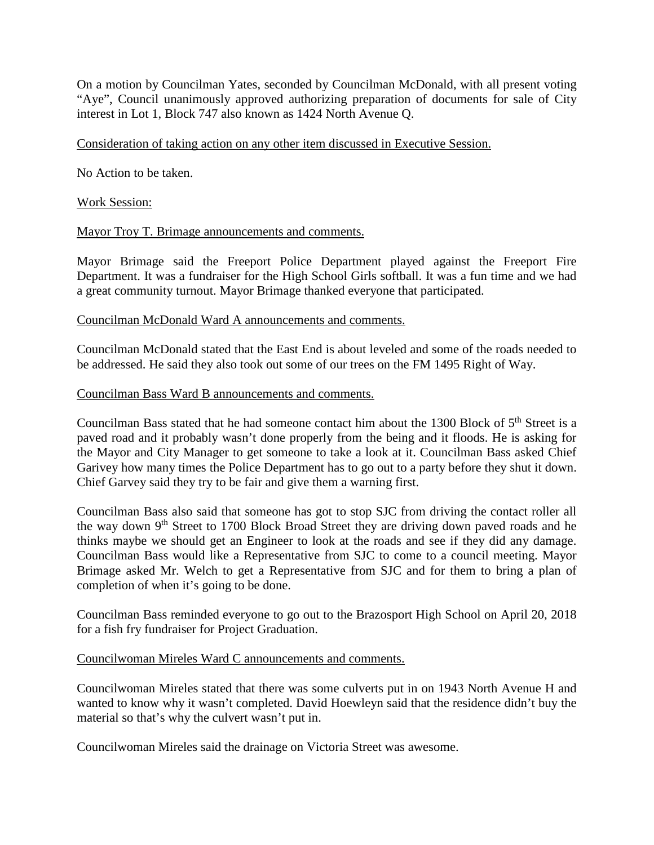On a motion by Councilman Yates, seconded by Councilman McDonald, with all present voting "Aye", Council unanimously approved authorizing preparation of documents for sale of City interest in Lot 1, Block 747 also known as 1424 North Avenue Q.

### Consideration of taking action on any other item discussed in Executive Session.

No Action to be taken.

### Work Session:

### Mayor Troy T. Brimage announcements and comments.

Mayor Brimage said the Freeport Police Department played against the Freeport Fire Department. It was a fundraiser for the High School Girls softball. It was a fun time and we had a great community turnout. Mayor Brimage thanked everyone that participated.

#### Councilman McDonald Ward A announcements and comments.

Councilman McDonald stated that the East End is about leveled and some of the roads needed to be addressed. He said they also took out some of our trees on the FM 1495 Right of Way.

#### Councilman Bass Ward B announcements and comments.

Councilman Bass stated that he had someone contact him about the 1300 Block of  $5<sup>th</sup>$  Street is a paved road and it probably wasn't done properly from the being and it floods. He is asking for the Mayor and City Manager to get someone to take a look at it. Councilman Bass asked Chief Garivey how many times the Police Department has to go out to a party before they shut it down. Chief Garvey said they try to be fair and give them a warning first.

Councilman Bass also said that someone has got to stop SJC from driving the contact roller all the way down  $9<sup>th</sup>$  Street to 1700 Block Broad Street they are driving down paved roads and he thinks maybe we should get an Engineer to look at the roads and see if they did any damage. Councilman Bass would like a Representative from SJC to come to a council meeting. Mayor Brimage asked Mr. Welch to get a Representative from SJC and for them to bring a plan of completion of when it's going to be done.

Councilman Bass reminded everyone to go out to the Brazosport High School on April 20, 2018 for a fish fry fundraiser for Project Graduation.

#### Councilwoman Mireles Ward C announcements and comments.

Councilwoman Mireles stated that there was some culverts put in on 1943 North Avenue H and wanted to know why it wasn't completed. David Hoewleyn said that the residence didn't buy the material so that's why the culvert wasn't put in.

Councilwoman Mireles said the drainage on Victoria Street was awesome.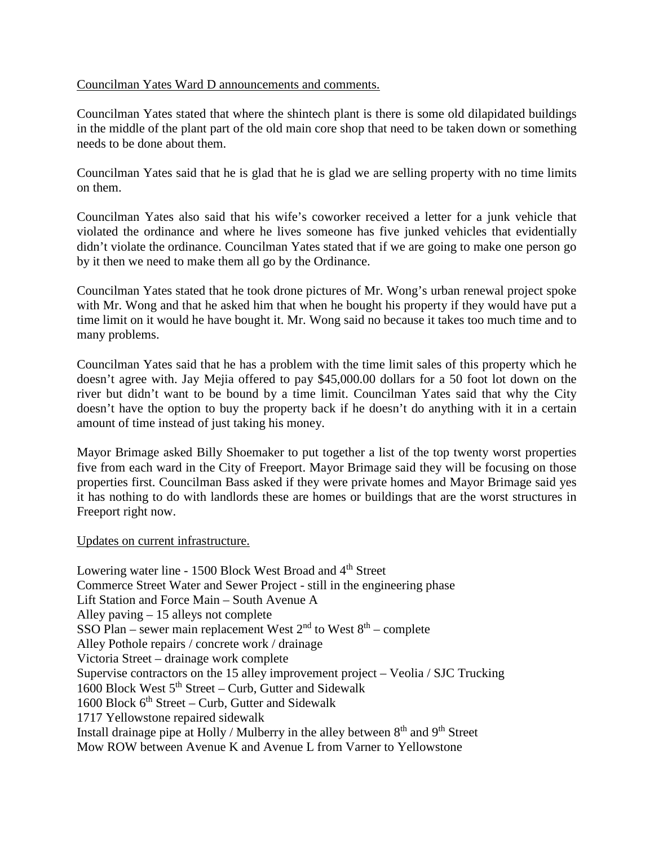## Councilman Yates Ward D announcements and comments.

Councilman Yates stated that where the shintech plant is there is some old dilapidated buildings in the middle of the plant part of the old main core shop that need to be taken down or something needs to be done about them.

Councilman Yates said that he is glad that he is glad we are selling property with no time limits on them.

Councilman Yates also said that his wife's coworker received a letter for a junk vehicle that violated the ordinance and where he lives someone has five junked vehicles that evidentially didn't violate the ordinance. Councilman Yates stated that if we are going to make one person go by it then we need to make them all go by the Ordinance.

Councilman Yates stated that he took drone pictures of Mr. Wong's urban renewal project spoke with Mr. Wong and that he asked him that when he bought his property if they would have put a time limit on it would he have bought it. Mr. Wong said no because it takes too much time and to many problems.

Councilman Yates said that he has a problem with the time limit sales of this property which he doesn't agree with. Jay Mejia offered to pay \$45,000.00 dollars for a 50 foot lot down on the river but didn't want to be bound by a time limit. Councilman Yates said that why the City doesn't have the option to buy the property back if he doesn't do anything with it in a certain amount of time instead of just taking his money.

Mayor Brimage asked Billy Shoemaker to put together a list of the top twenty worst properties five from each ward in the City of Freeport. Mayor Brimage said they will be focusing on those properties first. Councilman Bass asked if they were private homes and Mayor Brimage said yes it has nothing to do with landlords these are homes or buildings that are the worst structures in Freeport right now.

## Updates on current infrastructure.

Lowering water line - 1500 Block West Broad and 4<sup>th</sup> Street Commerce Street Water and Sewer Project - still in the engineering phase Lift Station and Force Main – South Avenue A Alley paving – 15 alleys not complete SSO Plan – sewer main replacement West  $2<sup>nd</sup>$  to West  $8<sup>th</sup>$  – complete Alley Pothole repairs / concrete work / drainage Victoria Street – drainage work complete Supervise contractors on the 15 alley improvement project – Veolia / SJC Trucking 1600 Block West  $5<sup>th</sup>$  Street – Curb, Gutter and Sidewalk 1600 Block  $6<sup>th</sup> Street - Curb$ , Gutter and Sidewalk 1717 Yellowstone repaired sidewalk Install drainage pipe at Holly / Mulberry in the alley between  $8<sup>th</sup>$  and  $9<sup>th</sup>$  Street Mow ROW between Avenue K and Avenue L from Varner to Yellowstone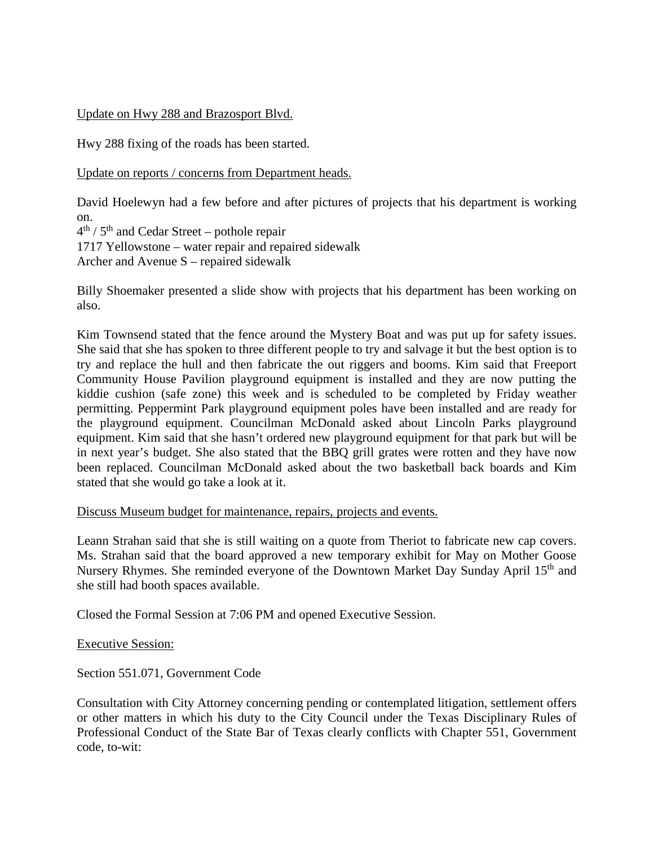# Update on Hwy 288 and Brazosport Blvd.

Hwy 288 fixing of the roads has been started.

Update on reports / concerns from Department heads.

David Hoelewyn had a few before and after pictures of projects that his department is working on.

 $4<sup>th</sup>$  /  $5<sup>th</sup>$  and Cedar Street – pothole repair 1717 Yellowstone – water repair and repaired sidewalk Archer and Avenue S – repaired sidewalk

Billy Shoemaker presented a slide show with projects that his department has been working on also.

Kim Townsend stated that the fence around the Mystery Boat and was put up for safety issues. She said that she has spoken to three different people to try and salvage it but the best option is to try and replace the hull and then fabricate the out riggers and booms. Kim said that Freeport Community House Pavilion playground equipment is installed and they are now putting the kiddie cushion (safe zone) this week and is scheduled to be completed by Friday weather permitting. Peppermint Park playground equipment poles have been installed and are ready for the playground equipment. Councilman McDonald asked about Lincoln Parks playground equipment. Kim said that she hasn't ordered new playground equipment for that park but will be in next year's budget. She also stated that the BBQ grill grates were rotten and they have now been replaced. Councilman McDonald asked about the two basketball back boards and Kim stated that she would go take a look at it.

## Discuss Museum budget for maintenance, repairs, projects and events.

Leann Strahan said that she is still waiting on a quote from Theriot to fabricate new cap covers. Ms. Strahan said that the board approved a new temporary exhibit for May on Mother Goose Nursery Rhymes. She reminded everyone of the Downtown Market Day Sunday April 15<sup>th</sup> and she still had booth spaces available.

Closed the Formal Session at 7:06 PM and opened Executive Session.

Executive Session:

Section 551.071, Government Code

Consultation with City Attorney concerning pending or contemplated litigation, settlement offers or other matters in which his duty to the City Council under the Texas Disciplinary Rules of Professional Conduct of the State Bar of Texas clearly conflicts with Chapter 551, Government code, to-wit: